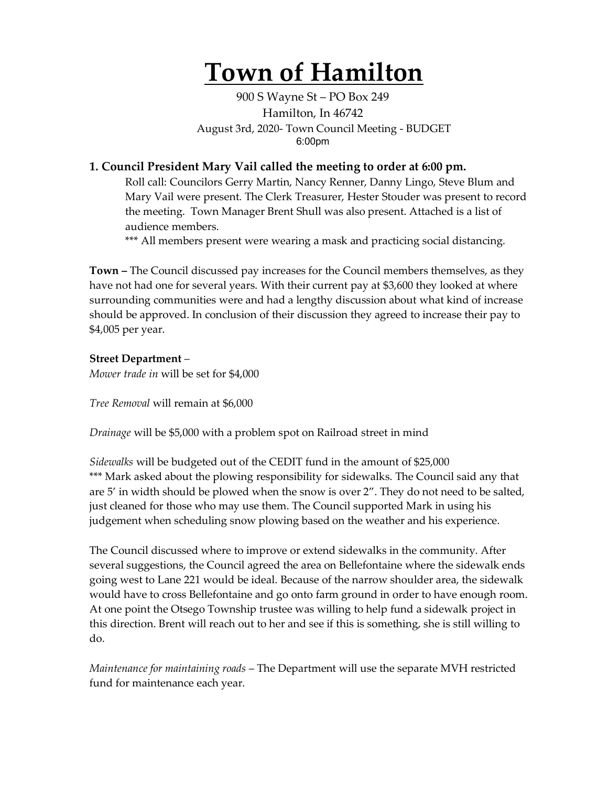# **Town of Hamilton**

900 S Wayne St – PO Box 249 Hamilton, In 46742 August 3rd, 2020- Town Council Meeting - BUDGET 6:00pm

# **1. Council President Mary Vail called the meeting to order at 6:00 pm.**

Roll call: Councilors Gerry Martin, Nancy Renner, Danny Lingo, Steve Blum and Mary Vail were present. The Clerk Treasurer, Hester Stouder was present to record the meeting. Town Manager Brent Shull was also present. Attached is a list of audience members.

\*\*\* All members present were wearing a mask and practicing social distancing.

**Town –** The Council discussed pay increases for the Council members themselves, as they have not had one for several years. With their current pay at \$3,600 they looked at where surrounding communities were and had a lengthy discussion about what kind of increase should be approved. In conclusion of their discussion they agreed to increase their pay to \$4,005 per year.

## **Street Department** –

*Mower trade in* will be set for \$4,000

*Tree Removal* will remain at \$6,000

*Drainage* will be \$5,000 with a problem spot on Railroad street in mind

*Sidewalks* will be budgeted out of the CEDIT fund in the amount of \$25,000 \*\*\* Mark asked about the plowing responsibility for sidewalks. The Council said any that are 5' in width should be plowed when the snow is over 2". They do not need to be salted, just cleaned for those who may use them. The Council supported Mark in using his judgement when scheduling snow plowing based on the weather and his experience.

The Council discussed where to improve or extend sidewalks in the community. After several suggestions, the Council agreed the area on Bellefontaine where the sidewalk ends going west to Lane 221 would be ideal. Because of the narrow shoulder area, the sidewalk would have to cross Bellefontaine and go onto farm ground in order to have enough room. At one point the Otsego Township trustee was willing to help fund a sidewalk project in this direction. Brent will reach out to her and see if this is something, she is still willing to do.

*Maintenance for maintaining roads* – The Department will use the separate MVH restricted fund for maintenance each year.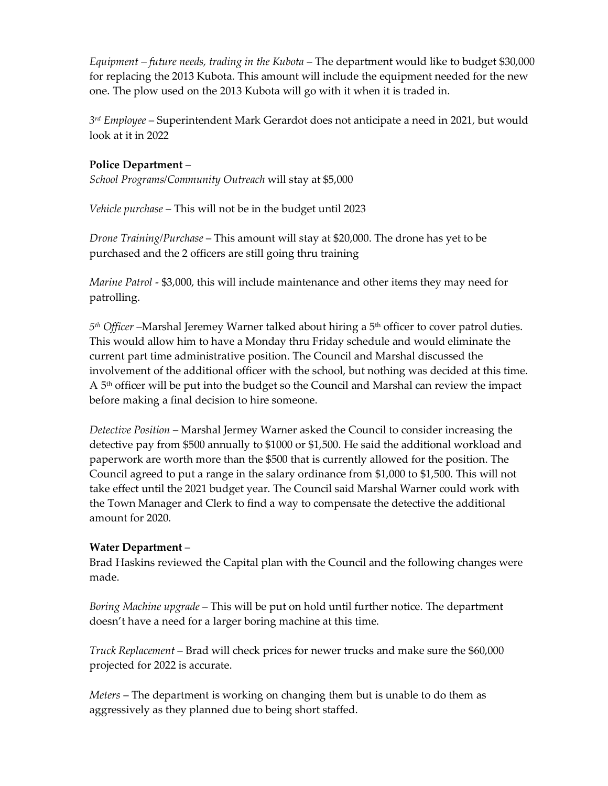*Equipment – future needs, trading in the Kubota* – The department would like to budget \$30,000 for replacing the 2013 Kubota. This amount will include the equipment needed for the new one. The plow used on the 2013 Kubota will go with it when it is traded in.

*3rd Employee* – Superintendent Mark Gerardot does not anticipate a need in 2021, but would look at it in 2022

### **Police Department** –

*School Programs/Community Outreach* will stay at \$5,000

*Vehicle purchase* – This will not be in the budget until 2023

*Drone Training/Purchase* – This amount will stay at \$20,000. The drone has yet to be purchased and the 2 officers are still going thru training

*Marine Patrol* - \$3,000, this will include maintenance and other items they may need for patrolling.

*5th Officer –*Marshal Jeremey Warner talked about hiring a 5th officer to cover patrol duties. This would allow him to have a Monday thru Friday schedule and would eliminate the current part time administrative position. The Council and Marshal discussed the involvement of the additional officer with the school, but nothing was decided at this time. A 5th officer will be put into the budget so the Council and Marshal can review the impact before making a final decision to hire someone.

*Detective Position* – Marshal Jermey Warner asked the Council to consider increasing the detective pay from \$500 annually to \$1000 or \$1,500. He said the additional workload and paperwork are worth more than the \$500 that is currently allowed for the position. The Council agreed to put a range in the salary ordinance from \$1,000 to \$1,500. This will not take effect until the 2021 budget year. The Council said Marshal Warner could work with the Town Manager and Clerk to find a way to compensate the detective the additional amount for 2020.

#### **Water Department** –

Brad Haskins reviewed the Capital plan with the Council and the following changes were made.

*Boring Machine upgrade* – This will be put on hold until further notice. The department doesn't have a need for a larger boring machine at this time.

*Truck Replacement* – Brad will check prices for newer trucks and make sure the \$60,000 projected for 2022 is accurate.

*Meters* – The department is working on changing them but is unable to do them as aggressively as they planned due to being short staffed.